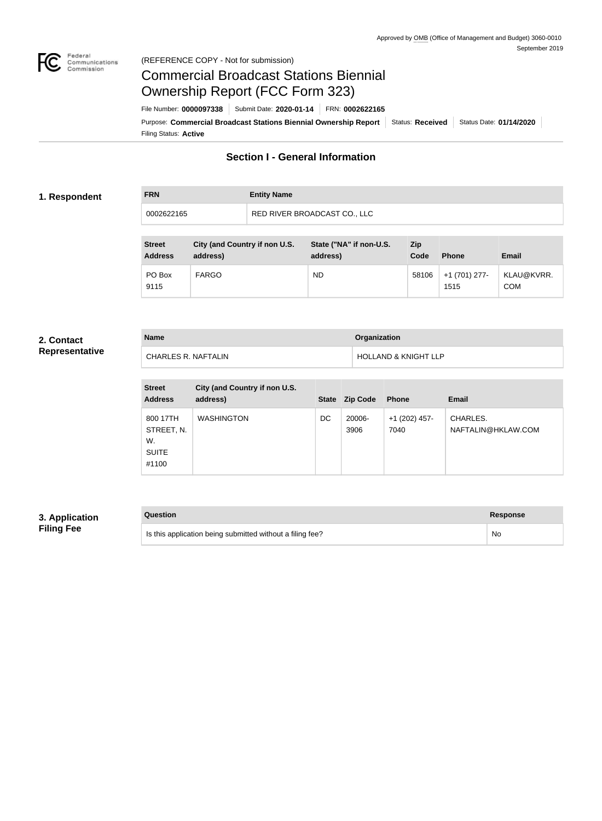

#### Federal<br>Communications<br>Commission (REFERENCE COPY - Not for submission)

# Commercial Broadcast Stations Biennial Ownership Report (FCC Form 323)

Filing Status: **Active** Purpose: Commercial Broadcast Stations Biennial Ownership Report Status: Received Status Date: 01/14/2020 File Number: **0000097338** Submit Date: **2020-01-14** FRN: **0002622165**

# **Section I - General Information**

#### **1. Respondent**

| <b>FRN</b> | <b>Entity Name</b>           |
|------------|------------------------------|
| 0002622165 | RED RIVER BROADCAST CO., LLC |

| <b>Street</b><br><b>Address</b> | City (and Country if non U.S.<br>address) | State ("NA" if non-U.S.<br>address) | <b>Zip</b><br>Code | <b>Phone</b>          | <b>Email</b>             |
|---------------------------------|-------------------------------------------|-------------------------------------|--------------------|-----------------------|--------------------------|
| PO Box<br>9115                  | <b>FARGO</b>                              | <b>ND</b>                           | 58106              | +1 (701) 277-<br>1515 | KLAU@KVRR.<br><b>COM</b> |

#### **2. Contact Representative**

| <b>Name</b>         | <b>Organization</b>             |
|---------------------|---------------------------------|
| CHARLES R. NAFTALIN | <b>HOLLAND &amp; KNIGHT LLP</b> |

| <b>Street</b><br><b>Address</b>                       | City (and Country if non U.S.<br>address) | <b>State</b> | <b>Zip Code</b> | <b>Phone</b>          | <b>Email</b>                   |
|-------------------------------------------------------|-------------------------------------------|--------------|-----------------|-----------------------|--------------------------------|
| 800 17TH<br>STREET, N.<br>W.<br><b>SUITE</b><br>#1100 | <b>WASHINGTON</b>                         | DC           | 20006-<br>3906  | +1 (202) 457-<br>7040 | CHARLES.<br>NAFTALIN@HKLAW.COM |

# **3. Application Filing Fee**

| Question                                                  | Response |
|-----------------------------------------------------------|----------|
| Is this application being submitted without a filing fee? | No       |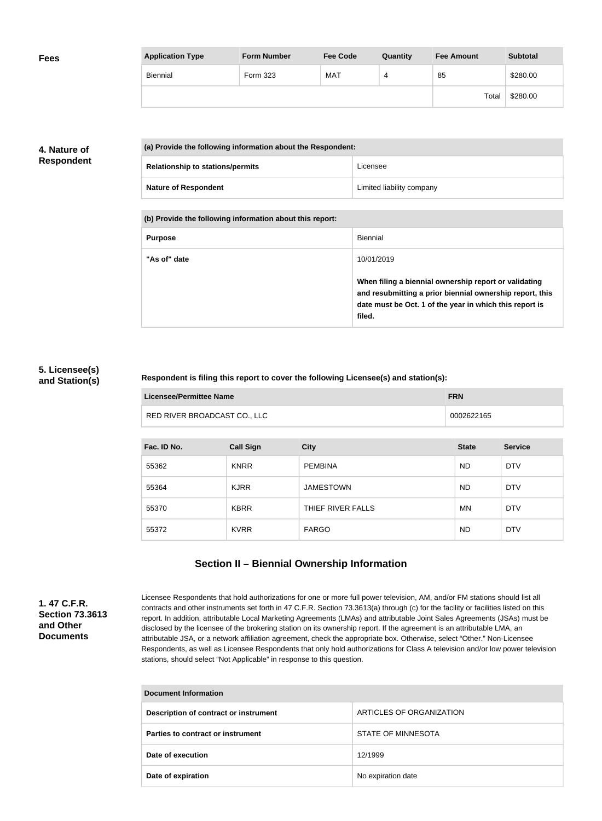| <b>Fees</b> | <b>Application Type</b> | <b>Form Number</b> | <b>Fee Code</b> | Quantity | <b>Fee Amount</b> | <b>Subtotal</b> |
|-------------|-------------------------|--------------------|-----------------|----------|-------------------|-----------------|
|             | Biennial                | Form 323           | <b>MAT</b>      | 4        | 85                | \$280.00        |
|             |                         |                    |                 |          | Total             | \$280.00        |

## **4. Nature of Respondent**

| (a) Provide the following information about the Respondent: |                           |  |  |
|-------------------------------------------------------------|---------------------------|--|--|
| <b>Relationship to stations/permits</b>                     | Licensee                  |  |  |
| <b>Nature of Respondent</b>                                 | Limited liability company |  |  |

**(b) Provide the following information about this report:**

| <b>Purpose</b> | Biennial                                                                                                                                                                               |
|----------------|----------------------------------------------------------------------------------------------------------------------------------------------------------------------------------------|
| "As of" date   | 10/01/2019                                                                                                                                                                             |
|                | When filing a biennial ownership report or validating<br>and resubmitting a prior biennial ownership report, this<br>date must be Oct. 1 of the year in which this report is<br>filed. |

#### **5. Licensee(s) and Station(s)**

#### **Respondent is filing this report to cover the following Licensee(s) and station(s):**

| Licensee/Permittee Name      | <b>FRN</b> |
|------------------------------|------------|
| RED RIVER BROADCAST CO., LLC | 0002622165 |

| Fac. ID No. | <b>Call Sign</b> | <b>City</b>       | <b>State</b> | <b>Service</b> |
|-------------|------------------|-------------------|--------------|----------------|
| 55362       | <b>KNRR</b>      | <b>PEMBINA</b>    | <b>ND</b>    | <b>DTV</b>     |
| 55364       | <b>KJRR</b>      | <b>JAMESTOWN</b>  | <b>ND</b>    | <b>DTV</b>     |
| 55370       | <b>KBRR</b>      | THIEF RIVER FALLS | <b>MN</b>    | <b>DTV</b>     |
| 55372       | <b>KVRR</b>      | <b>FARGO</b>      | <b>ND</b>    | <b>DTV</b>     |

# **Section II – Biennial Ownership Information**

**1. 47 C.F.R. Section 73.3613 and Other Documents**

Licensee Respondents that hold authorizations for one or more full power television, AM, and/or FM stations should list all contracts and other instruments set forth in 47 C.F.R. Section 73.3613(a) through (c) for the facility or facilities listed on this report. In addition, attributable Local Marketing Agreements (LMAs) and attributable Joint Sales Agreements (JSAs) must be disclosed by the licensee of the brokering station on its ownership report. If the agreement is an attributable LMA, an attributable JSA, or a network affiliation agreement, check the appropriate box. Otherwise, select "Other." Non-Licensee Respondents, as well as Licensee Respondents that only hold authorizations for Class A television and/or low power television stations, should select "Not Applicable" in response to this question.

| <b>Document Information</b>           |                          |  |
|---------------------------------------|--------------------------|--|
| Description of contract or instrument | ARTICLES OF ORGANIZATION |  |
| Parties to contract or instrument     | STATE OF MINNESOTA       |  |
| Date of execution                     | 12/1999                  |  |
| Date of expiration                    | No expiration date       |  |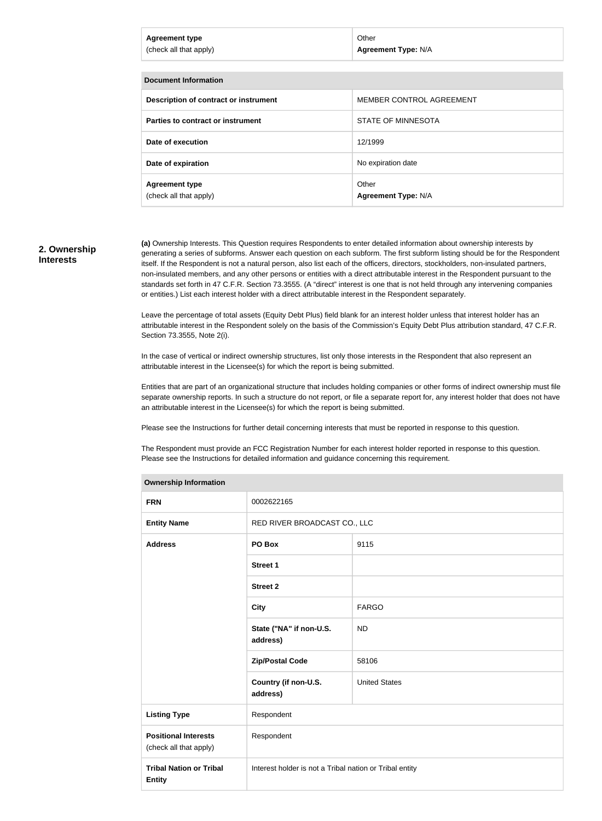| <b>Agreement type</b><br>(check all that apply) | Other<br><b>Agreement Type: N/A</b> |
|-------------------------------------------------|-------------------------------------|
|                                                 |                                     |
| <b>Document Information</b>                     |                                     |
| Description of contract or instrument           | MEMBER CONTROL AGREEMENT            |
| Parties to contract or instrument               | STATE OF MINNESOTA                  |
| Date of execution                               | 12/1999                             |
| Date of expiration                              | No expiration date                  |
| <b>Agreement type</b><br>(check all that apply) | Other<br><b>Agreement Type: N/A</b> |

#### **2. Ownership Interests**

**(a)** Ownership Interests. This Question requires Respondents to enter detailed information about ownership interests by generating a series of subforms. Answer each question on each subform. The first subform listing should be for the Respondent itself. If the Respondent is not a natural person, also list each of the officers, directors, stockholders, non-insulated partners, non-insulated members, and any other persons or entities with a direct attributable interest in the Respondent pursuant to the standards set forth in 47 C.F.R. Section 73.3555. (A "direct" interest is one that is not held through any intervening companies or entities.) List each interest holder with a direct attributable interest in the Respondent separately.

Leave the percentage of total assets (Equity Debt Plus) field blank for an interest holder unless that interest holder has an attributable interest in the Respondent solely on the basis of the Commission's Equity Debt Plus attribution standard, 47 C.F.R. Section 73.3555, Note 2(i).

In the case of vertical or indirect ownership structures, list only those interests in the Respondent that also represent an attributable interest in the Licensee(s) for which the report is being submitted.

Entities that are part of an organizational structure that includes holding companies or other forms of indirect ownership must file separate ownership reports. In such a structure do not report, or file a separate report for, any interest holder that does not have an attributable interest in the Licensee(s) for which the report is being submitted.

Please see the Instructions for further detail concerning interests that must be reported in response to this question.

The Respondent must provide an FCC Registration Number for each interest holder reported in response to this question. Please see the Instructions for detailed information and guidance concerning this requirement.

| <b>Ownership Information</b>                          |                                                         |                      |  |
|-------------------------------------------------------|---------------------------------------------------------|----------------------|--|
| <b>FRN</b>                                            | 0002622165                                              |                      |  |
| <b>Entity Name</b>                                    | RED RIVER BROADCAST CO., LLC                            |                      |  |
| <b>Address</b>                                        | PO Box                                                  | 9115                 |  |
|                                                       | <b>Street 1</b>                                         |                      |  |
|                                                       | <b>Street 2</b>                                         |                      |  |
|                                                       | <b>City</b>                                             | <b>FARGO</b>         |  |
|                                                       | State ("NA" if non-U.S.<br>address)                     | <b>ND</b>            |  |
|                                                       | <b>Zip/Postal Code</b>                                  | 58106                |  |
|                                                       | Country (if non-U.S.<br>address)                        | <b>United States</b> |  |
| <b>Listing Type</b>                                   | Respondent                                              |                      |  |
| <b>Positional Interests</b><br>(check all that apply) | Respondent                                              |                      |  |
| <b>Tribal Nation or Tribal</b><br><b>Entity</b>       | Interest holder is not a Tribal nation or Tribal entity |                      |  |

#### **Ownership Information**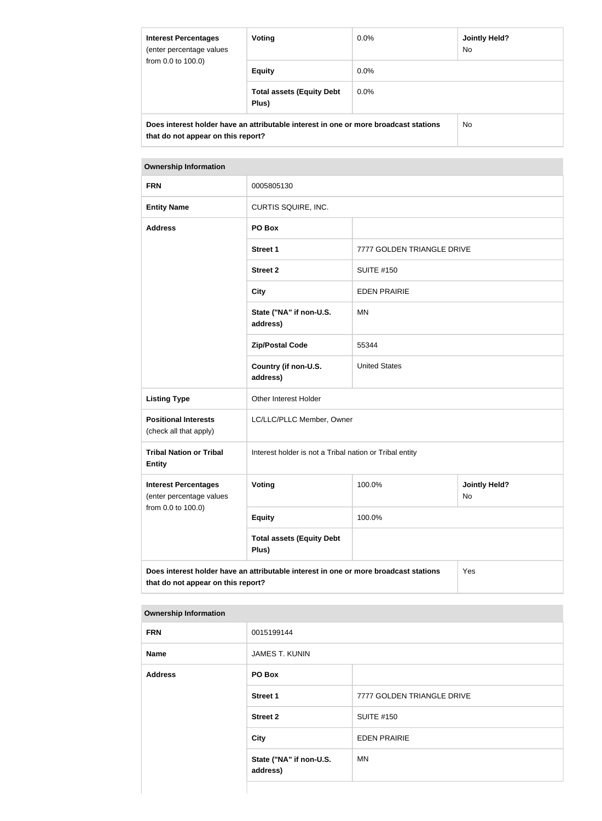| <b>Interest Percentages</b><br>(enter percentage values<br>from 0.0 to 100.0) | Voting                                                                               | $0.0\%$ | <b>Jointly Held?</b><br>No. |
|-------------------------------------------------------------------------------|--------------------------------------------------------------------------------------|---------|-----------------------------|
|                                                                               | <b>Equity</b>                                                                        | $0.0\%$ |                             |
|                                                                               | <b>Total assets (Equity Debt</b><br>Plus)                                            | $0.0\%$ |                             |
| that do not appear on this report?                                            | Does interest holder have an attributable interest in one or more broadcast stations |         | No.                         |

#### **Ownership Information**

| <b>FRN</b>                                                                                                                        | 0005805130                                              |                            |                            |
|-----------------------------------------------------------------------------------------------------------------------------------|---------------------------------------------------------|----------------------------|----------------------------|
| <b>Entity Name</b>                                                                                                                | CURTIS SQUIRE, INC.                                     |                            |                            |
| <b>Address</b>                                                                                                                    | PO Box                                                  |                            |                            |
|                                                                                                                                   | <b>Street 1</b>                                         | 7777 GOLDEN TRIANGLE DRIVE |                            |
|                                                                                                                                   | <b>Street 2</b>                                         | <b>SUITE #150</b>          |                            |
|                                                                                                                                   | <b>City</b>                                             | <b>EDEN PRAIRIE</b>        |                            |
|                                                                                                                                   | State ("NA" if non-U.S.<br>address)                     | <b>MN</b>                  |                            |
|                                                                                                                                   | <b>Zip/Postal Code</b>                                  | 55344                      |                            |
|                                                                                                                                   | Country (if non-U.S.<br>address)                        | <b>United States</b>       |                            |
| <b>Listing Type</b>                                                                                                               | Other Interest Holder                                   |                            |                            |
| <b>Positional Interests</b><br>(check all that apply)                                                                             | LC/LLC/PLLC Member, Owner                               |                            |                            |
| <b>Tribal Nation or Tribal</b><br><b>Entity</b>                                                                                   | Interest holder is not a Tribal nation or Tribal entity |                            |                            |
| <b>Interest Percentages</b><br>(enter percentage values<br>from 0.0 to 100.0)                                                     | <b>Voting</b>                                           | 100.0%                     | <b>Jointly Held?</b><br>No |
|                                                                                                                                   | <b>Equity</b>                                           | 100.0%                     |                            |
|                                                                                                                                   | <b>Total assets (Equity Debt</b><br>Plus)               |                            |                            |
| Does interest holder have an attributable interest in one or more broadcast stations<br>Yes<br>that do not appear on this report? |                                                         |                            |                            |

#### **Ownership Information**

| .              |                                     |                            |
|----------------|-------------------------------------|----------------------------|
| <b>FRN</b>     | 0015199144                          |                            |
| <b>Name</b>    | <b>JAMES T. KUNIN</b>               |                            |
| <b>Address</b> | PO Box                              |                            |
|                | <b>Street 1</b>                     | 7777 GOLDEN TRIANGLE DRIVE |
|                | <b>Street 2</b>                     | <b>SUITE #150</b>          |
|                | <b>City</b>                         | <b>EDEN PRAIRIE</b>        |
|                | State ("NA" if non-U.S.<br>address) | <b>MN</b>                  |
|                |                                     |                            |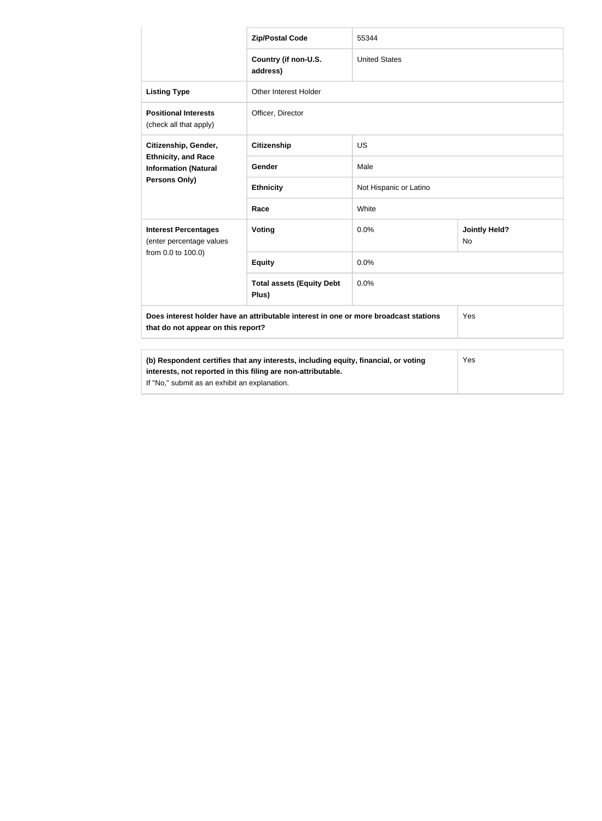|                                                                                                                                                                                                             | <b>Zip/Postal Code</b>                    | 55344                  |                            |
|-------------------------------------------------------------------------------------------------------------------------------------------------------------------------------------------------------------|-------------------------------------------|------------------------|----------------------------|
|                                                                                                                                                                                                             | Country (if non-U.S.<br>address)          | <b>United States</b>   |                            |
| <b>Listing Type</b>                                                                                                                                                                                         | Other Interest Holder                     |                        |                            |
| <b>Positional Interests</b><br>(check all that apply)                                                                                                                                                       | Officer, Director                         |                        |                            |
| Citizenship, Gender,<br><b>Ethnicity, and Race</b><br><b>Information (Natural</b><br><b>Persons Only)</b>                                                                                                   | <b>Citizenship</b>                        | US                     |                            |
|                                                                                                                                                                                                             | Gender                                    | Male                   |                            |
|                                                                                                                                                                                                             | <b>Ethnicity</b>                          | Not Hispanic or Latino |                            |
|                                                                                                                                                                                                             | Race                                      | White                  |                            |
| <b>Interest Percentages</b><br>(enter percentage values                                                                                                                                                     | Voting                                    | 0.0%                   | <b>Jointly Held?</b><br>No |
| from 0.0 to 100.0)                                                                                                                                                                                          | <b>Equity</b>                             | 0.0%                   |                            |
|                                                                                                                                                                                                             | <b>Total assets (Equity Debt</b><br>Plus) | 0.0%                   |                            |
| Does interest holder have an attributable interest in one or more broadcast stations<br>Yes<br>that do not appear on this report?                                                                           |                                           |                        |                            |
|                                                                                                                                                                                                             |                                           |                        |                            |
| (b) Respondent certifies that any interests, including equity, financial, or voting<br>Yes<br>interests, not reported in this filing are non-attributable.<br>If "No," submit as an exhibit an explanation. |                                           |                        |                            |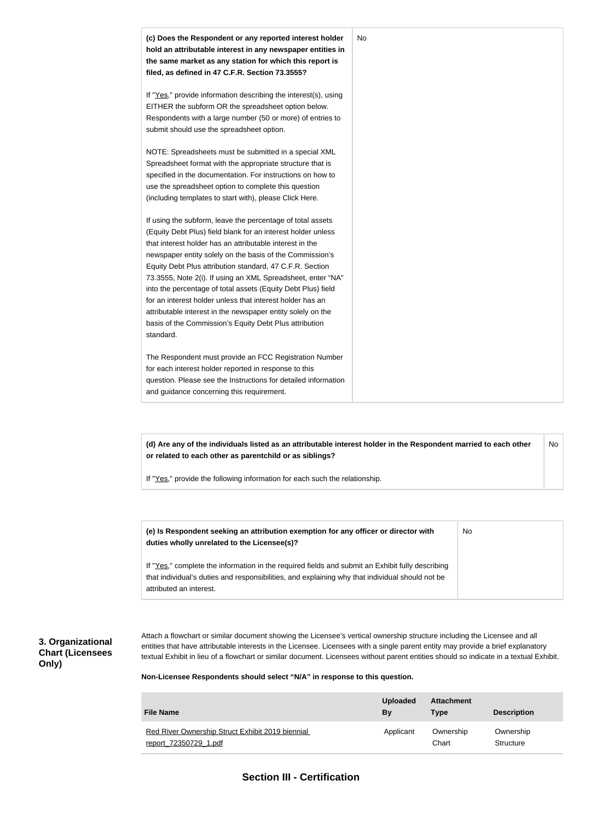

**(d) Are any of the individuals listed as an attributable interest holder in the Respondent married to each other or related to each other as parentchild or as siblings?** No

If "Yes," provide the following information for each such the relationship.

| (e) Is Respondent seeking an attribution exemption for any officer or director with<br>duties wholly unrelated to the Licensee(s)?                                                                                             | No |
|--------------------------------------------------------------------------------------------------------------------------------------------------------------------------------------------------------------------------------|----|
| If "Yes," complete the information in the required fields and submit an Exhibit fully describing<br>that individual's duties and responsibilities, and explaining why that individual should not be<br>attributed an interest. |    |

#### **3. Organizational Chart (Licensees Only)**

Attach a flowchart or similar document showing the Licensee's vertical ownership structure including the Licensee and all entities that have attributable interests in the Licensee. Licensees with a single parent entity may provide a brief explanatory textual Exhibit in lieu of a flowchart or similar document. Licensees without parent entities should so indicate in a textual Exhibit.

**Non-Licensee Respondents should select "N/A" in response to this question.**

| <b>File Name</b>                                 | <b>Uploaded</b><br>By | <b>Attachment</b><br><b>Type</b> | <b>Description</b> |
|--------------------------------------------------|-----------------------|----------------------------------|--------------------|
| Red River Ownership Struct Exhibit 2019 biennial | Applicant             | Ownership                        | Ownership          |
| report 72350729 1.pdf                            |                       | Chart                            | Structure          |